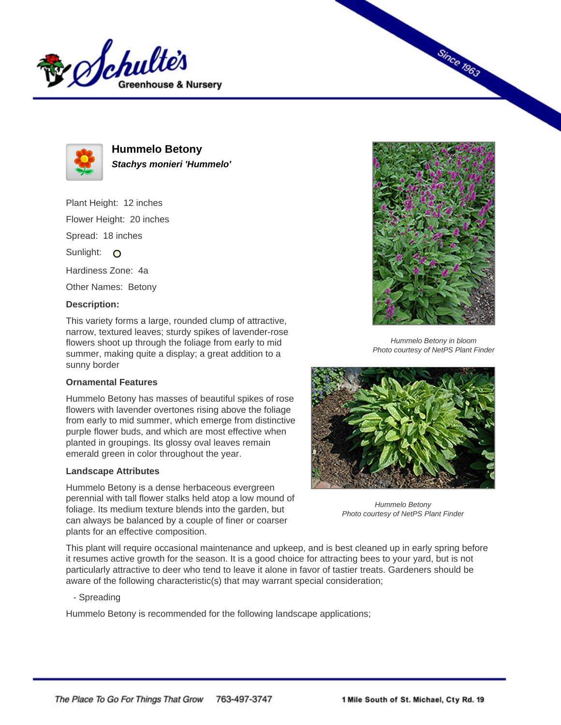



**Hummelo Betony Stachys monieri 'Hummelo'**

Plant Height: 12 inches Flower Height: 20 inches

Spread: 18 inches

Sunlight: O

Hardiness Zone: 4a

Other Names: Betony

## **Description:**

This variety forms a large, rounded clump of attractive, narrow, textured leaves; sturdy spikes of lavender-rose flowers shoot up through the foliage from early to mid summer, making quite a display; a great addition to a sunny border

## **Ornamental Features**

Hummelo Betony has masses of beautiful spikes of rose flowers with lavender overtones rising above the foliage from early to mid summer, which emerge from distinctive purple flower buds, and which are most effective when planted in groupings. Its glossy oval leaves remain emerald green in color throughout the year.

## **Landscape Attributes**

Hummelo Betony is a dense herbaceous evergreen perennial with tall flower stalks held atop a low mound of foliage. Its medium texture blends into the garden, but can always be balanced by a couple of finer or coarser plants for an effective composition.



**Since 1963** 

Hummelo Betony in bloom Photo courtesy of NetPS Plant Finder



Hummelo Betony Photo courtesy of NetPS Plant Finder

This plant will require occasional maintenance and upkeep, and is best cleaned up in early spring before it resumes active growth for the season. It is a good choice for attracting bees to your yard, but is not particularly attractive to deer who tend to leave it alone in favor of tastier treats. Gardeners should be aware of the following characteristic(s) that may warrant special consideration;

- Spreading

Hummelo Betony is recommended for the following landscape applications;